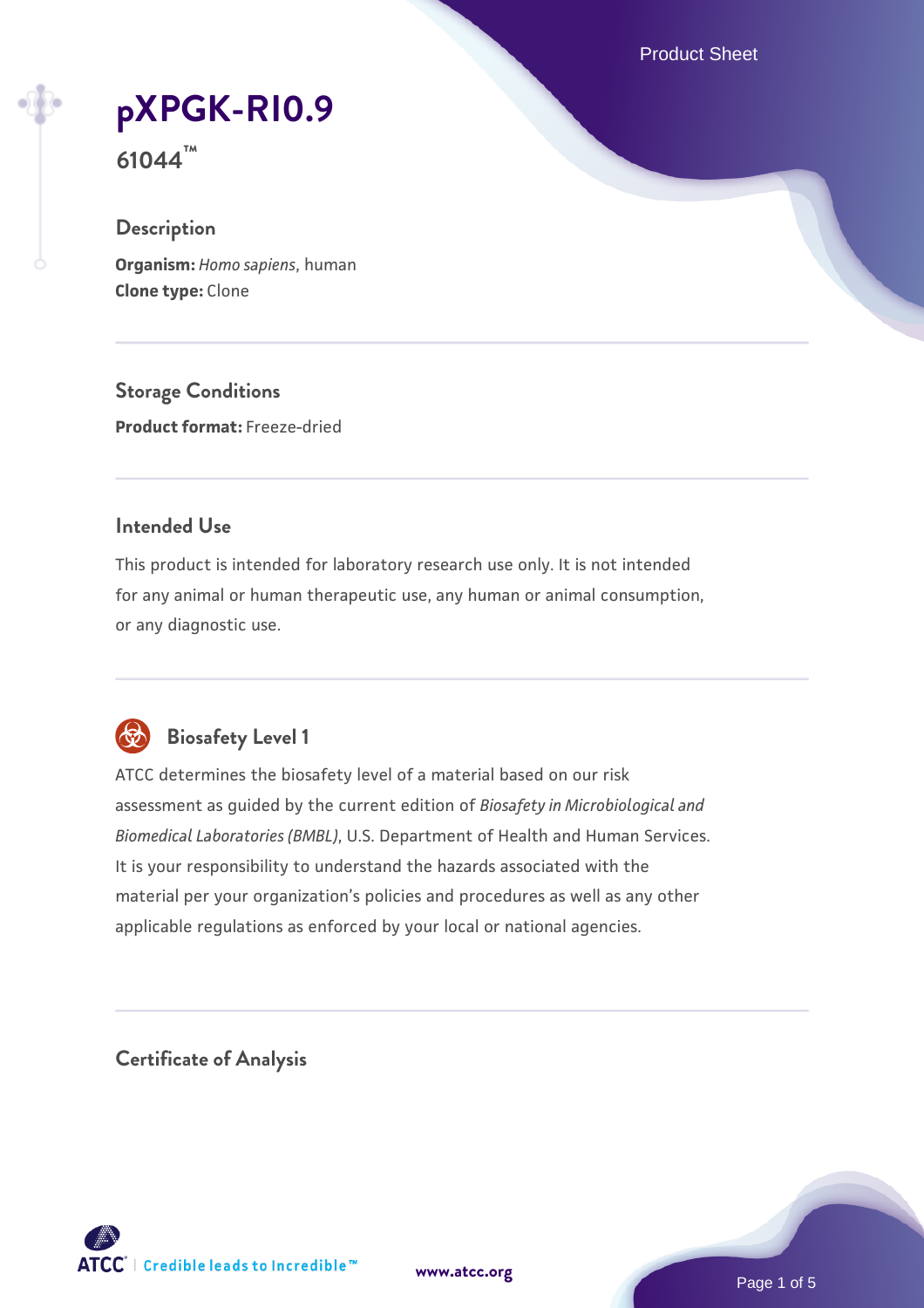Product Sheet

# **[pXPGK-RI0.9](https://www.atcc.org/products/61044)**

**61044™**

## **Description**

**Organism:** *Homo sapiens*, human **Clone type:** Clone

**Storage Conditions Product format:** Freeze-dried

#### **Intended Use**

This product is intended for laboratory research use only. It is not intended for any animal or human therapeutic use, any human or animal consumption, or any diagnostic use.



## **Biosafety Level 1**

ATCC determines the biosafety level of a material based on our risk assessment as guided by the current edition of *Biosafety in Microbiological and Biomedical Laboratories (BMBL)*, U.S. Department of Health and Human Services. It is your responsibility to understand the hazards associated with the material per your organization's policies and procedures as well as any other applicable regulations as enforced by your local or national agencies.

**Certificate of Analysis**

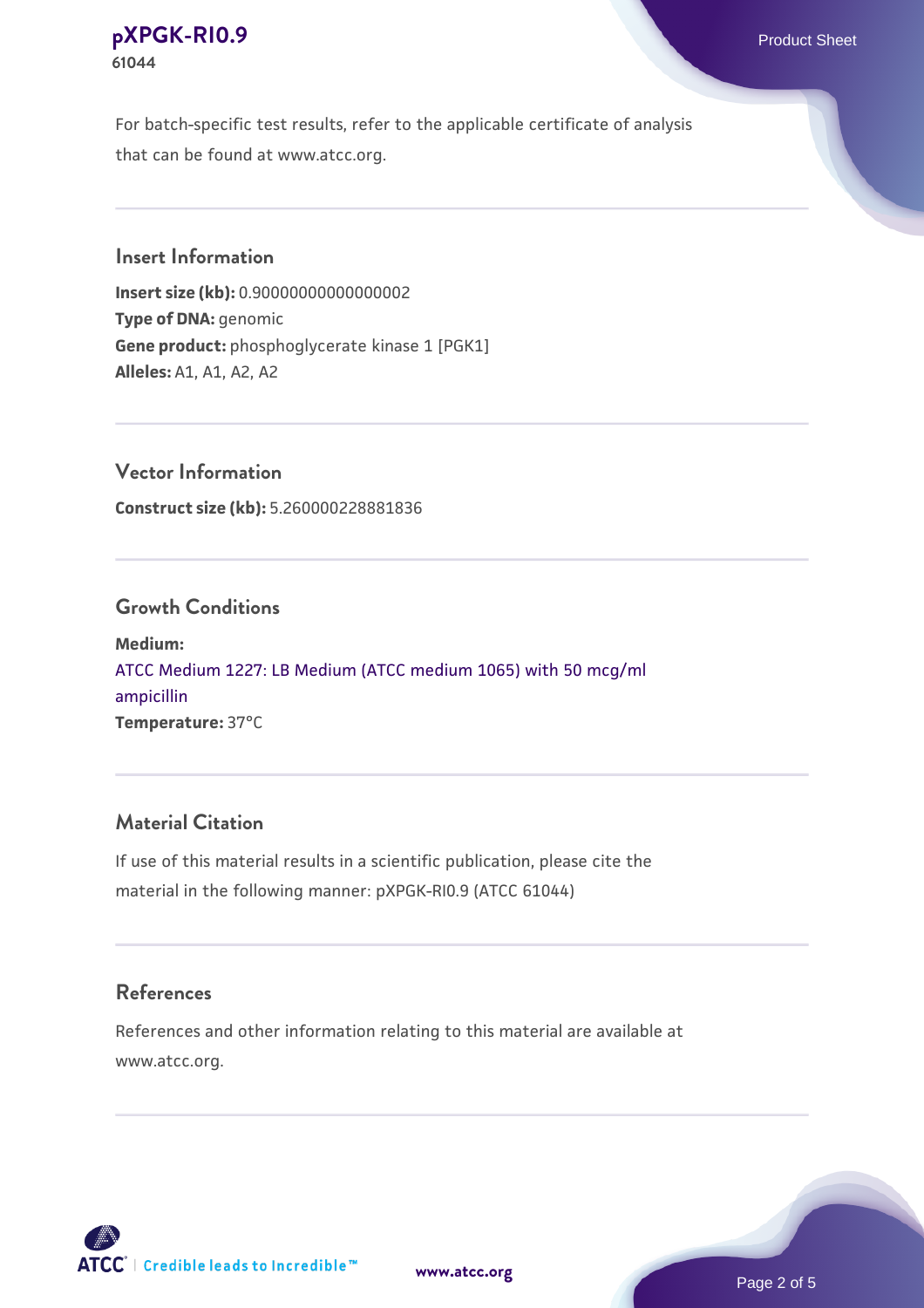#### **[pXPGK-RI0.9](https://www.atcc.org/products/61044)** Product Sheet **61044**

For batch-specific test results, refer to the applicable certificate of analysis that can be found at www.atcc.org.

#### **Insert Information**

**Insert size (kb):** 0.90000000000000002 **Type of DNA:** genomic **Gene product:** phosphoglycerate kinase 1 [PGK1] **Alleles:** A1, A1, A2, A2

**Vector Information Construct size (kb):** 5.260000228881836

#### **Growth Conditions**

**Medium:**  [ATCC Medium 1227: LB Medium \(ATCC medium 1065\) with 50 mcg/ml](https://www.atcc.org/-/media/product-assets/documents/microbial-media-formulations/1/2/2/7/atcc-medium-1227.pdf?rev=581c98603b3e4b29a6d62ee0ba9ca578) [ampicillin](https://www.atcc.org/-/media/product-assets/documents/microbial-media-formulations/1/2/2/7/atcc-medium-1227.pdf?rev=581c98603b3e4b29a6d62ee0ba9ca578) **Temperature:** 37°C

## **Material Citation**

If use of this material results in a scientific publication, please cite the material in the following manner: pXPGK-RI0.9 (ATCC 61044)

#### **References**

References and other information relating to this material are available at www.atcc.org.

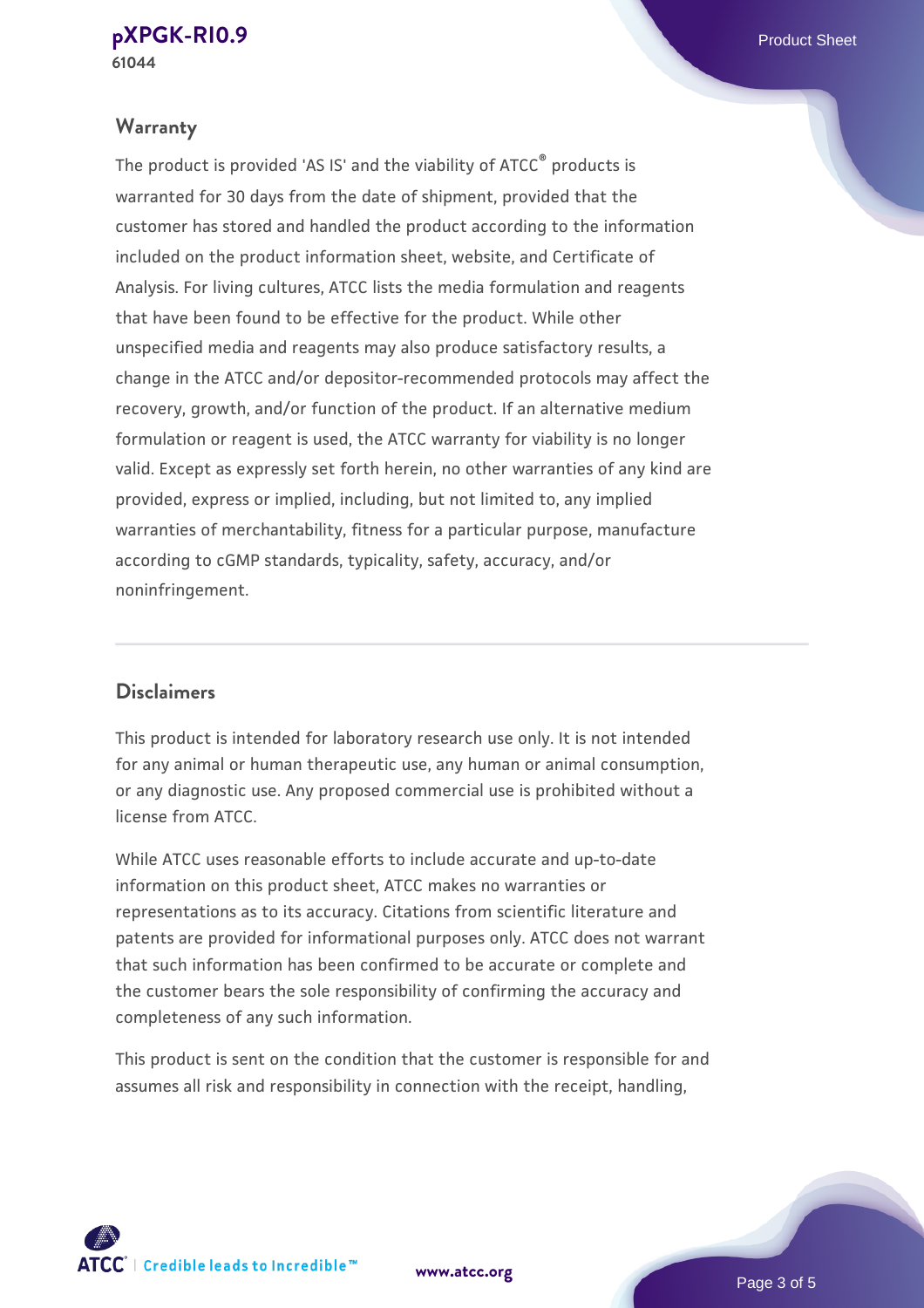#### **Warranty**

The product is provided 'AS IS' and the viability of ATCC® products is warranted for 30 days from the date of shipment, provided that the customer has stored and handled the product according to the information included on the product information sheet, website, and Certificate of Analysis. For living cultures, ATCC lists the media formulation and reagents that have been found to be effective for the product. While other unspecified media and reagents may also produce satisfactory results, a change in the ATCC and/or depositor-recommended protocols may affect the recovery, growth, and/or function of the product. If an alternative medium formulation or reagent is used, the ATCC warranty for viability is no longer valid. Except as expressly set forth herein, no other warranties of any kind are provided, express or implied, including, but not limited to, any implied warranties of merchantability, fitness for a particular purpose, manufacture according to cGMP standards, typicality, safety, accuracy, and/or noninfringement.

#### **Disclaimers**

This product is intended for laboratory research use only. It is not intended for any animal or human therapeutic use, any human or animal consumption, or any diagnostic use. Any proposed commercial use is prohibited without a license from ATCC.

While ATCC uses reasonable efforts to include accurate and up-to-date information on this product sheet, ATCC makes no warranties or representations as to its accuracy. Citations from scientific literature and patents are provided for informational purposes only. ATCC does not warrant that such information has been confirmed to be accurate or complete and the customer bears the sole responsibility of confirming the accuracy and completeness of any such information.

This product is sent on the condition that the customer is responsible for and assumes all risk and responsibility in connection with the receipt, handling,



**[www.atcc.org](http://www.atcc.org)**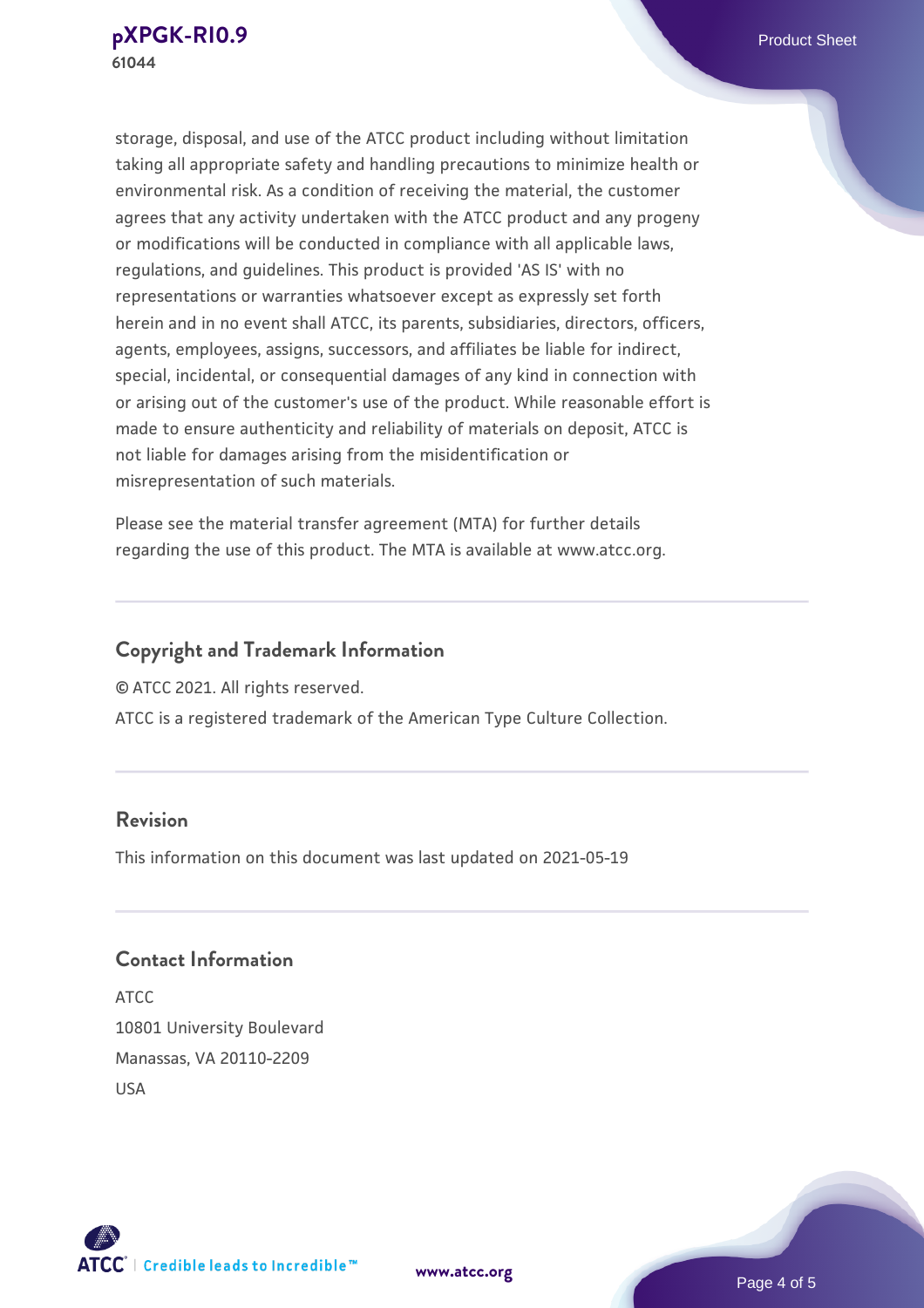storage, disposal, and use of the ATCC product including without limitation taking all appropriate safety and handling precautions to minimize health or environmental risk. As a condition of receiving the material, the customer agrees that any activity undertaken with the ATCC product and any progeny or modifications will be conducted in compliance with all applicable laws, regulations, and guidelines. This product is provided 'AS IS' with no representations or warranties whatsoever except as expressly set forth herein and in no event shall ATCC, its parents, subsidiaries, directors, officers, agents, employees, assigns, successors, and affiliates be liable for indirect, special, incidental, or consequential damages of any kind in connection with or arising out of the customer's use of the product. While reasonable effort is made to ensure authenticity and reliability of materials on deposit, ATCC is not liable for damages arising from the misidentification or misrepresentation of such materials.

Please see the material transfer agreement (MTA) for further details regarding the use of this product. The MTA is available at www.atcc.org.

## **Copyright and Trademark Information**

© ATCC 2021. All rights reserved.

ATCC is a registered trademark of the American Type Culture Collection.

#### **Revision**

This information on this document was last updated on 2021-05-19

## **Contact Information**

ATCC 10801 University Boulevard Manassas, VA 20110-2209 USA



**[www.atcc.org](http://www.atcc.org)**